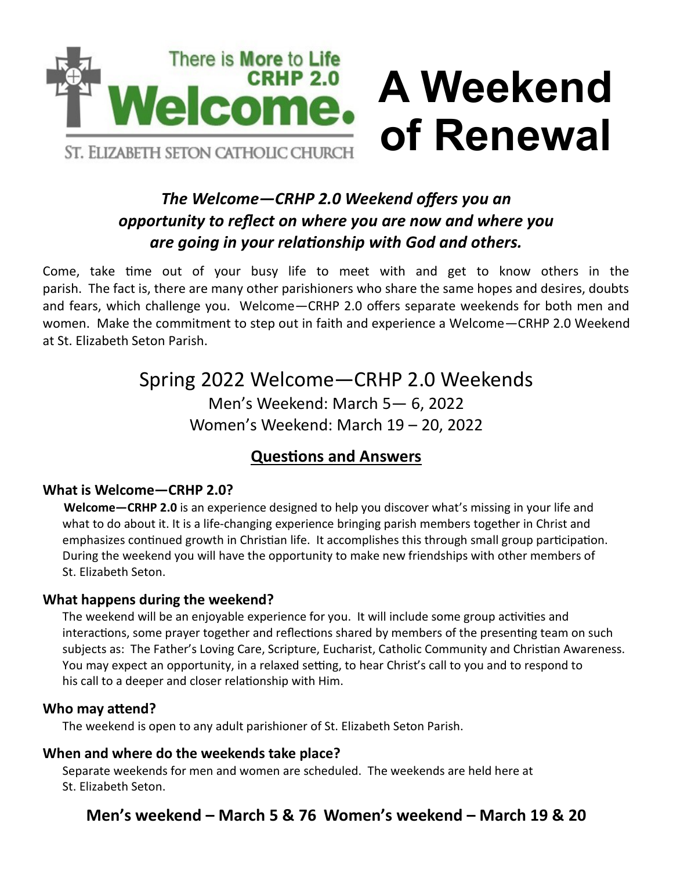

## *The Welcome—CRHP 2.0 Weekend offers you an opportunity to reflect on where you are now and where you are going in your relationship with God and others.*

**of Renewal**

Come, take time out of your busy life to meet with and get to know others in the parish. The fact is, there are many other parishioners who share the same hopes and desires, doubts and fears, which challenge you. Welcome—CRHP 2.0 offers separate weekends for both men and women. Make the commitment to step out in faith and experience a Welcome—CRHP 2.0 Weekend at St. Elizabeth Seton Parish.

# Spring 2022 Welcome—CRHP 2.0 Weekends

Men's Weekend: March 5— 6, 2022 Women's Weekend: March 19 – 20, 2022

### **Questions and Answers**

#### **What is Welcome—CRHP 2.0?**

 **Welcome—CRHP 2.0** is an experience designed to help you discover what's missing in your life and what to do about it. It is a life-changing experience bringing parish members together in Christ and emphasizes continued growth in Christian life. It accomplishes this through small group participation. During the weekend you will have the opportunity to make new friendships with other members of St. Elizabeth Seton.

#### **What happens during the weekend?**

The weekend will be an enjoyable experience for you. It will include some group activities and interactions, some prayer together and reflections shared by members of the presenting team on such subjects as: The Father's Loving Care, Scripture, Eucharist, Catholic Community and Christian Awareness. You may expect an opportunity, in a relaxed setting, to hear Christ's call to you and to respond to his call to a deeper and closer relationship with Him.

#### **Who may attend?**

The weekend is open to any adult parishioner of St. Elizabeth Seton Parish.

#### **When and where do the weekends take place?**

Separate weekends for men and women are scheduled. The weekends are held here at St. Elizabeth Seton.